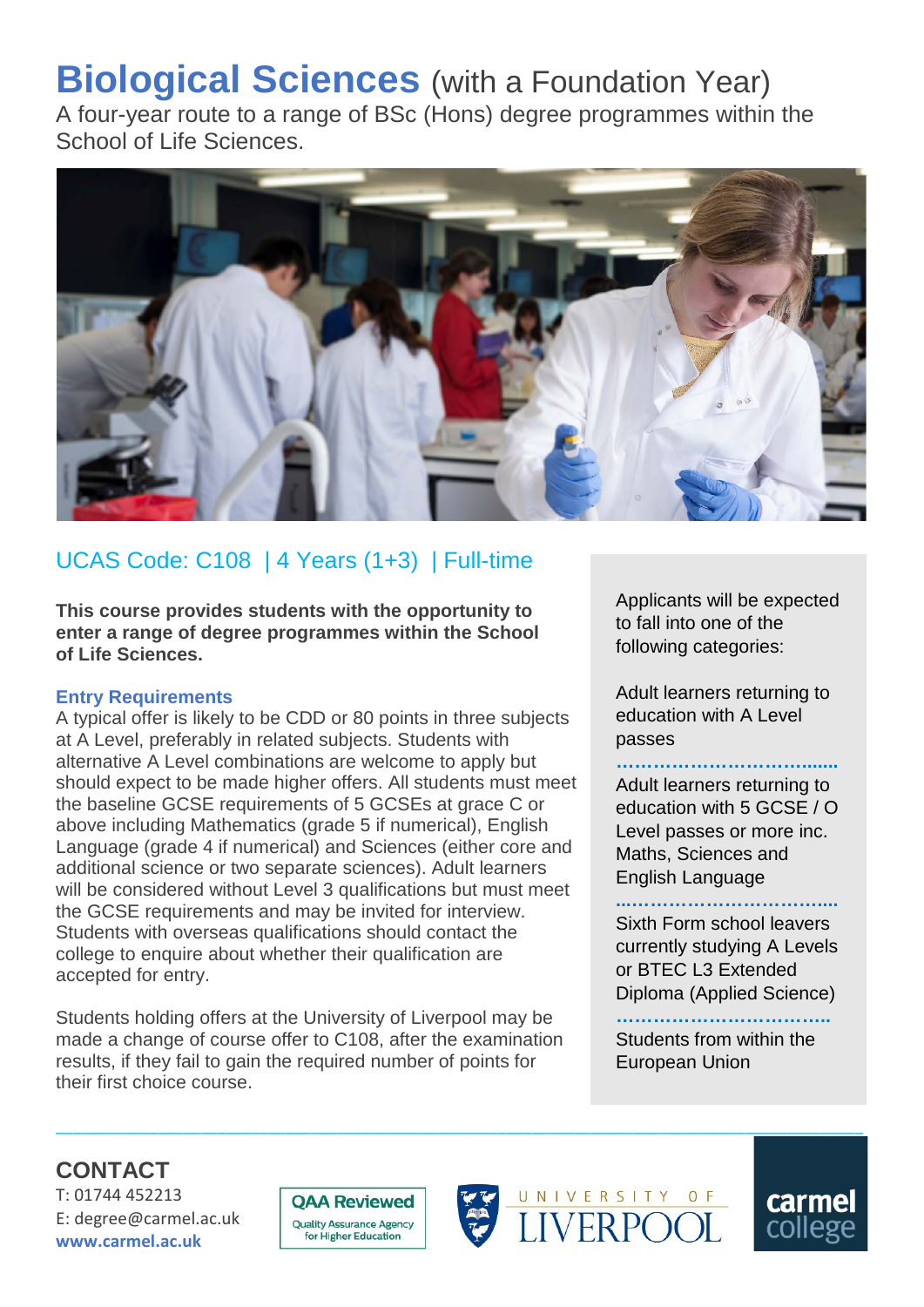# **Biological Sciences** (with a Foundation Year)

A four-year route to a range of BSc (Hons) degree programmes within the School of Life Sciences.



## UCAS Code: C108 | 4 Years (1+3) | Full-time

**This course provides students with the opportunity to enter a range of degree programmes within the School of Life Sciences.**

#### **Entry Requirements**

A typical offer is likely to be CDD or 80 points in three subjects at A Level, preferably in related subjects. Students with alternative A Level combinations are welcome to apply but should expect to be made higher offers. All students must meet the baseline GCSE requirements of 5 GCSEs at grace C or above including Mathematics (grade 5 if numerical), English Language (grade 4 if numerical) and Sciences (either core and additional science or two separate sciences). Adult learners will be considered without Level 3 qualifications but must meet the GCSE requirements and may be invited for interview. Students with overseas qualifications should contact the college to enquire about whether their qualification are accepted for entry.

Students holding offers at the University of Liverpool may be made a change of course offer to C108, after the examination results, if they fail to gain the required number of points for their first choice course.

Applicants will be expected to fall into one of the following categories:

Adult learners returning to education with A Level passes

#### **………………………….......**

Adult learners returning to education with 5 GCSE / O Level passes or more inc. Maths, Sciences and English Language

**...…………………………....** Sixth Form school leavers currently studying A Levels or BTEC L3 Extended Diploma (Applied Science)

**……………………………..** Students from within the

European Union

### **CONTACT**

T: 01744 452213 E: degree@carmel.ac.uk **www.carmel.ac.uk**



\_\_\_\_\_\_\_\_\_\_\_\_\_\_\_\_\_\_\_\_\_\_\_\_\_\_\_\_\_\_\_\_\_\_\_\_\_\_\_\_\_\_\_\_\_\_\_\_\_\_\_\_\_\_\_\_\_\_\_\_\_\_\_\_\_\_\_\_\_\_\_\_\_\_\_\_\_\_\_\_\_\_\_\_\_\_\_\_\_\_\_\_\_\_\_